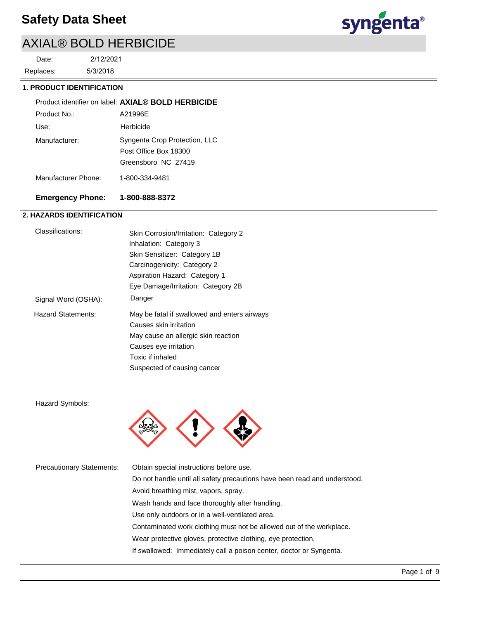# syngenta®

# AXIAL® BOLD HERBICIDE

Replaces: Date:

2/12/2021

5/3/2018

### **1. PRODUCT IDENTIFICATION**

|                     | Product identifier on label: AXIAL® BOLD HERBICIDE                            |
|---------------------|-------------------------------------------------------------------------------|
| Product No.:        | A21996E                                                                       |
| Use:                | Herbicide                                                                     |
| Manufacturer:       | Syngenta Crop Protection, LLC<br>Post Office Box 18300<br>Greensboro NC 27419 |
| Manufacturer Phone: | 1-800-334-9481                                                                |

### **Emergency Phone: 1-800-888-8372**

### **2. HAZARDS IDENTIFICATION**

| Classifications:          | Skin Corrosion/Irritation: Category 2        |
|---------------------------|----------------------------------------------|
|                           | Inhalation: Category 3                       |
|                           | Skin Sensitizer: Category 1B                 |
|                           | Carcinogenicity: Category 2                  |
|                           | Aspiration Hazard: Category 1                |
|                           | Eye Damage/Irritation: Category 2B           |
| Signal Word (OSHA):       | Danger                                       |
| <b>Hazard Statements:</b> | May be fatal if swallowed and enters airways |
|                           | Causes skin irritation                       |
|                           | May cause an allergic skin reaction          |
|                           | Causes eye irritation                        |
|                           | Toxic if inhaled                             |
|                           | Suspected of causing cancer                  |
|                           |                                              |

### Hazard Symbols:



| <b>Precautionary Statements:</b> | Obtain special instructions before use.                                   |
|----------------------------------|---------------------------------------------------------------------------|
|                                  | Do not handle until all safety precautions have been read and understood. |
|                                  | Avoid breathing mist, vapors, spray.                                      |
|                                  | Wash hands and face thoroughly after handling.                            |
|                                  | Use only outdoors or in a well-ventilated area.                           |
|                                  | Contaminated work clothing must not be allowed out of the workplace.      |
|                                  | Wear protective gloves, protective clothing, eye protection.              |
|                                  | If swallowed: Immediately call a poison center, doctor or Syngenta.       |
|                                  |                                                                           |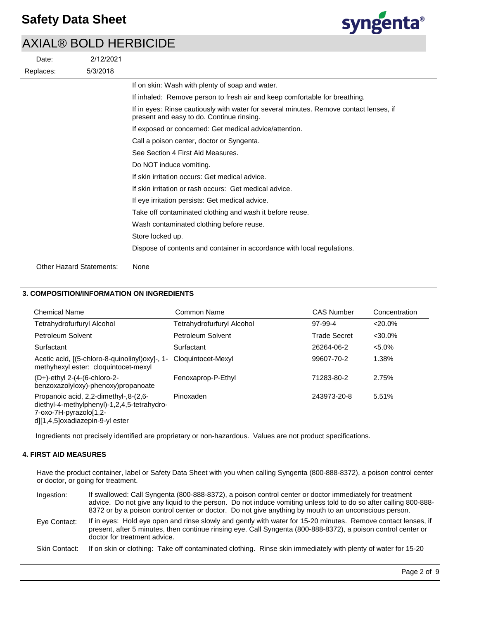

|           | 2/12/2021<br>Date:              |                                                                                                                                     |
|-----------|---------------------------------|-------------------------------------------------------------------------------------------------------------------------------------|
| Replaces: | 5/3/2018                        |                                                                                                                                     |
|           |                                 | If on skin: Wash with plenty of soap and water.                                                                                     |
|           |                                 | If inhaled: Remove person to fresh air and keep comfortable for breathing.                                                          |
|           |                                 | If in eyes: Rinse cautiously with water for several minutes. Remove contact lenses, if<br>present and easy to do. Continue rinsing. |
|           |                                 | If exposed or concerned: Get medical advice/attention.                                                                              |
|           |                                 | Call a poison center, doctor or Syngenta.                                                                                           |
|           |                                 | See Section 4 First Aid Measures.                                                                                                   |
|           |                                 | Do NOT induce vomiting.                                                                                                             |
|           |                                 | If skin irritation occurs: Get medical advice.                                                                                      |
|           |                                 | If skin irritation or rash occurs: Get medical advice.                                                                              |
|           |                                 | If eye irritation persists: Get medical advice.                                                                                     |
|           |                                 | Take off contaminated clothing and wash it before reuse.                                                                            |
|           |                                 | Wash contaminated clothing before reuse.                                                                                            |
|           |                                 | Store locked up.                                                                                                                    |
|           |                                 | Dispose of contents and container in accordance with local regulations.                                                             |
|           | <b>Other Hazard Statements:</b> | None                                                                                                                                |

### **3. COMPOSITION/INFORMATION ON INGREDIENTS**

| <b>Chemical Name</b>                                                                                                                                   | Common Name                | <b>CAS Number</b> | Concentration |
|--------------------------------------------------------------------------------------------------------------------------------------------------------|----------------------------|-------------------|---------------|
| Tetrahydrofurfuryl Alcohol                                                                                                                             | Tetrahydrofurfuryl Alcohol | 97-99-4           | $<20.0\%$     |
| Petroleum Solvent                                                                                                                                      | Petroleum Solvent          | Trade Secret      | $<30.0\%$     |
| Surfactant                                                                                                                                             | Surfactant                 | 26264-06-2        | $< 5.0\%$     |
| Acetic acid, [(5-chloro-8-quinolinyl) oxyl-, 1-<br>methyhexyl ester: cloquintocet-mexyl                                                                | Cloquintocet-Mexyl         | 99607-70-2        | 1.38%         |
| $(D+)$ -ethyl 2- $(4-(6-chloro-2-$<br>benzoxazolyloxy)-phenoxy)propanoate                                                                              | Fenoxaprop-P-Ethyl         | 71283-80-2        | 2.75%         |
| -8-(2,6). Propanoic acid, 2,2-dimethyl-,8-<br>diethyl-4-methylphenyl)-1,2,4,5-tetrahydro-<br>7-oxo-7H-pyrazolo[1,2-<br>d][1,4,5]oxadiazepin-9-yl ester | Pinoxaden                  | 243973-20-8       | 5.51%         |

Ingredients not precisely identified are proprietary or non-hazardous. Values are not product specifications.

### **4. FIRST AID MEASURES**

Have the product container, label or Safety Data Sheet with you when calling Syngenta (800-888-8372), a poison control center or doctor, or going for treatment.

| Ingestion:    | If swallowed: Call Syngenta (800-888-8372), a poison control center or doctor immediately for treatment<br>advice. Do not give any liquid to the person. Do not induce vomiting unless told to do so after calling 800-888-<br>8372 or by a poison control center or doctor. Do not give anything by mouth to an unconscious person. |
|---------------|--------------------------------------------------------------------------------------------------------------------------------------------------------------------------------------------------------------------------------------------------------------------------------------------------------------------------------------|
| Eye Contact:  | If in eyes: Hold eye open and rinse slowly and gently with water for 15-20 minutes. Remove contact lenses, if<br>present, after 5 minutes, then continue rinsing eye. Call Syngenta (800-888-8372), a poison control center or<br>doctor for treatment advice.                                                                       |
| Skin Contact: | If on skin or clothing: Take off contaminated clothing. Rinse skin immediately with plenty of water for 15-20                                                                                                                                                                                                                        |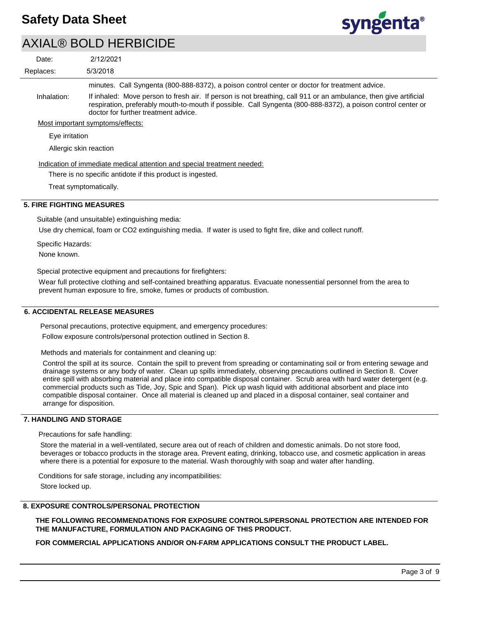

| Date:          | 2/12/2021                                                                                                                                                                                                                                                                |
|----------------|--------------------------------------------------------------------------------------------------------------------------------------------------------------------------------------------------------------------------------------------------------------------------|
| Replaces:      | 5/3/2018                                                                                                                                                                                                                                                                 |
|                | minutes. Call Syngenta (800-888-8372), a poison control center or doctor for treatment advice.                                                                                                                                                                           |
| Inhalation:    | If inhaled: Move person to fresh air. If person is not breathing, call 911 or an ambulance, then give artificial<br>respiration, preferably mouth-to-mouth if possible. Call Syngenta (800-888-8372), a poison control center or<br>doctor for further treatment advice. |
|                | Most important symptoms/effects:                                                                                                                                                                                                                                         |
| Eve irritation |                                                                                                                                                                                                                                                                          |

Allergic skin reaction

Indication of immediate medical attention and special treatment needed:

There is no specific antidote if this product is ingested.

Treat symptomatically.

### **5. FIRE FIGHTING MEASURES**

Suitable (and unsuitable) extinguishing media:

Use dry chemical, foam or CO2 extinguishing media. If water is used to fight fire, dike and collect runoff.

Specific Hazards: None known.

Special protective equipment and precautions for firefighters:

Wear full protective clothing and self-contained breathing apparatus. Evacuate nonessential personnel from the area to prevent human exposure to fire, smoke, fumes or products of combustion.

### **6. ACCIDENTAL RELEASE MEASURES**

Personal precautions, protective equipment, and emergency procedures:

Follow exposure controls/personal protection outlined in Section 8.

Methods and materials for containment and cleaning up:

Control the spill at its source. Contain the spill to prevent from spreading or contaminating soil or from entering sewage and drainage systems or any body of water. Clean up spills immediately, observing precautions outlined in Section 8. Cover entire spill with absorbing material and place into compatible disposal container. Scrub area with hard water detergent (e.g. commercial products such as Tide, Joy, Spic and Span). Pick up wash liquid with additional absorbent and place into compatible disposal container. Once all material is cleaned up and placed in a disposal container, seal container and arrange for disposition.

### **7. HANDLING AND STORAGE**

Precautions for safe handling:

Store the material in a well-ventilated, secure area out of reach of children and domestic animals. Do not store food, beverages or tobacco products in the storage area. Prevent eating, drinking, tobacco use, and cosmetic application in areas where there is a potential for exposure to the material. Wash thoroughly with soap and water after handling.

Conditions for safe storage, including any incompatibilities: Store locked up.

### **8. EXPOSURE CONTROLS/PERSONAL PROTECTION**

**THE FOLLOWING RECOMMENDATIONS FOR EXPOSURE CONTROLS/PERSONAL PROTECTION ARE INTENDED FOR THE MANUFACTURE, FORMULATION AND PACKAGING OF THIS PRODUCT.** 

**FOR COMMERCIAL APPLICATIONS AND/OR ON-FARM APPLICATIONS CONSULT THE PRODUCT LABEL.**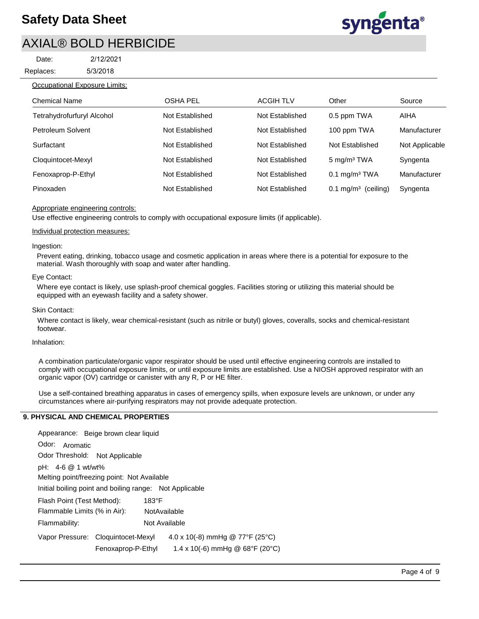Replaces: Date:



### Occupational Exposure Limits:

| <b>Chemical Name</b>       | OSHA PEL        | <b>ACGIH TLV</b> | Other                          | Source         |
|----------------------------|-----------------|------------------|--------------------------------|----------------|
| Tetrahydrofurfuryl Alcohol | Not Established | Not Established  | 0.5 ppm TWA                    | AIHA           |
| Petroleum Solvent          | Not Established | Not Established  | 100 ppm TWA                    | Manufacturer   |
| Surfactant                 | Not Established | Not Established  | Not Established                | Not Applicable |
| Cloquintocet-Mexyl         | Not Established | Not Established  | 5 mg/m <sup>3</sup> TWA        | Syngenta       |
| Fenoxaprop-P-Ethyl         | Not Established | Not Established  | $0.1$ mg/m <sup>3</sup> TWA    | Manufacturer   |
| Pinoxaden                  | Not Established | Not Established  | $0.1 \text{ mg/m}^3$ (ceiling) | Syngenta       |

### Appropriate engineering controls:

Use effective engineering controls to comply with occupational exposure limits (if applicable).

#### Individual protection measures:

#### Ingestion:

Prevent eating, drinking, tobacco usage and cosmetic application in areas where there is a potential for exposure to the material. Wash thoroughly with soap and water after handling.

#### Eye Contact:

Where eye contact is likely, use splash-proof chemical goggles. Facilities storing or utilizing this material should be equipped with an eyewash facility and a safety shower.

#### Skin Contact:

Where contact is likely, wear chemical-resistant (such as nitrile or butyl) gloves, coveralls, socks and chemical-resistant footwear.

#### Inhalation:

A combination particulate/organic vapor respirator should be used until effective engineering controls are installed to comply with occupational exposure limits, or until exposure limits are established. Use a NIOSH approved respirator with an organic vapor (OV) cartridge or canister with any R, P or HE filter.

Use a self-contained breathing apparatus in cases of emergency spills, when exposure levels are unknown, or under any circumstances where air-purifying respirators may not provide adequate protection.

### **9. PHYSICAL AND CHEMICAL PROPERTIES**

| Appearance: Beige brown clear liquid                                      |  |  |  |
|---------------------------------------------------------------------------|--|--|--|
| Odor:<br>Aromatic                                                         |  |  |  |
| Odor Threshold: Not Applicable                                            |  |  |  |
| pH: $4-6$ @ 1 wt/wt%                                                      |  |  |  |
| Melting point/freezing point: Not Available                               |  |  |  |
| Initial boiling point and boiling range: Not Applicable                   |  |  |  |
| $183^{\circ}$ F<br>Flash Point (Test Method):                             |  |  |  |
| NotAvailable<br>Flammable Limits (% in Air):                              |  |  |  |
| Not Available<br>Flammability:                                            |  |  |  |
| 4.0 x 10(-8) mmHg @ 77°F (25°C)<br>Vapor Pressure: Cloquintocet-Mexyl     |  |  |  |
| 1.4 x 10(-6) mmHg @ $68^{\circ}F$ (20 $^{\circ}C$ )<br>Fenoxaprop-P-Ethyl |  |  |  |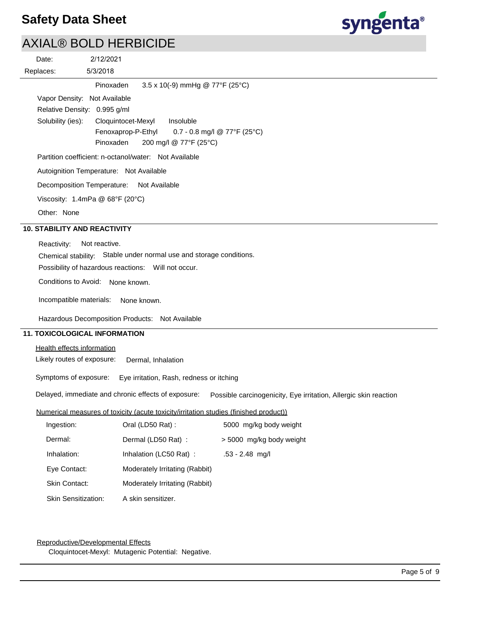

# AXIAL® BOLD HERBICIDE

|                                                                                                                       | AAIAL® DULD HENDIUIDE                                                                 |  |  |
|-----------------------------------------------------------------------------------------------------------------------|---------------------------------------------------------------------------------------|--|--|
| Date:                                                                                                                 | 2/12/2021                                                                             |  |  |
| Replaces:                                                                                                             | 5/3/2018                                                                              |  |  |
|                                                                                                                       | 3.5 x 10(-9) mmHg @ 77°F (25°C)<br>Pinoxaden                                          |  |  |
|                                                                                                                       | Vapor Density: Not Available                                                          |  |  |
|                                                                                                                       | Relative Density: 0.995 g/ml                                                          |  |  |
| Solubility (ies):                                                                                                     | Cloquintocet-Mexyl<br>Insoluble<br>Fenoxaprop-P-Ethyl<br>0.7 - 0.8 mg/l @ 77°F (25°C) |  |  |
|                                                                                                                       | Pinoxaden<br>200 mg/l @ 77°F (25°C)                                                   |  |  |
|                                                                                                                       | Partition coefficient: n-octanol/water: Not Available                                 |  |  |
|                                                                                                                       | Autoignition Temperature: Not Available                                               |  |  |
|                                                                                                                       | Decomposition Temperature: Not Available                                              |  |  |
|                                                                                                                       | Viscosity: 1.4mPa @ $68^{\circ}F(20^{\circ}C)$                                        |  |  |
| Other: None                                                                                                           |                                                                                       |  |  |
| <b>10. STABILITY AND REACTIVITY</b>                                                                                   |                                                                                       |  |  |
| Reactivity:                                                                                                           | Not reactive.                                                                         |  |  |
|                                                                                                                       | Chemical stability: Stable under normal use and storage conditions.                   |  |  |
| Possibility of hazardous reactions: Will not occur.                                                                   |                                                                                       |  |  |
| Conditions to Avoid: None known.                                                                                      |                                                                                       |  |  |
|                                                                                                                       | Incompatible materials:<br>None known.                                                |  |  |
| Hazardous Decomposition Products: Not Available                                                                       |                                                                                       |  |  |
|                                                                                                                       | <b>11. TOXICOLOGICAL INFORMATION</b>                                                  |  |  |
| Health effects information                                                                                            |                                                                                       |  |  |
| Likely routes of exposure:<br>Dermal, Inhalation                                                                      |                                                                                       |  |  |
| Symptoms of exposure:<br>Eye irritation, Rash, redness or itching                                                     |                                                                                       |  |  |
| Delayed, immediate and chronic effects of exposure:  Possible carcinogenicity, Eye irritation, Allergic skin reaction |                                                                                       |  |  |
|                                                                                                                       | Numerical measures of toxicity (acute toxicity/irritation studies (finished product)) |  |  |
| Ingestion:                                                                                                            | Oral (LD50 Rat):<br>5000 mg/kg body weight                                            |  |  |
| Dermal:                                                                                                               | Dermal (LD50 Rat) :<br>> 5000 mg/kg body weight                                       |  |  |
| Inhalation:                                                                                                           | Inhalation (LC50 Rat) :<br>.53 - 2.48 mg/l                                            |  |  |
| Eye Contact:                                                                                                          | Moderately Irritating (Rabbit)                                                        |  |  |
| Skin Contact:                                                                                                         | Moderately Irritating (Rabbit)                                                        |  |  |

Skin Sensitization: A skin sensitizer.

### Reproductive/Developmental Effects

Cloquintocet-Mexyl: Mutagenic Potential: Negative.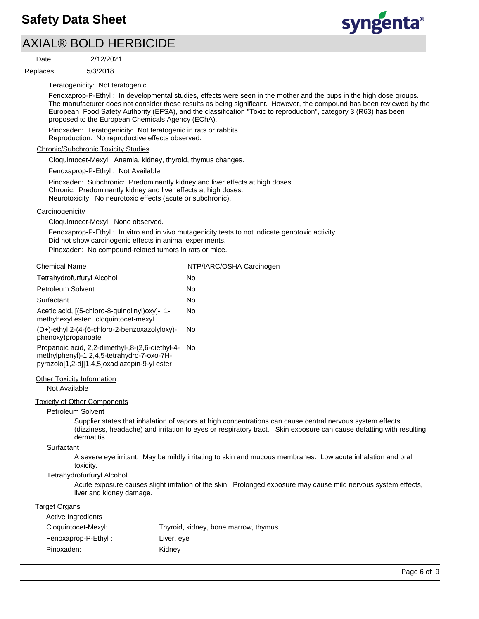# AXIAL® BOLD HERBICIDE

2/12/2021

5/3/2018 Replaces: Date:



Teratogenicity: Not teratogenic.

Fenoxaprop-P-Ethyl : In developmental studies, effects were seen in the mother and the pups in the high dose groups. The manufacturer does not consider these results as being significant. However, the compound has been reviewed by the European Food Safety Authority (EFSA), and the classification "Toxic to reproduction", category 3 (R63) has been proposed to the European Chemicals Agency (EChA).

Pinoxaden: Teratogenicity: Not teratogenic in rats or rabbits.

Reproduction: No reproductive effects observed.

#### Chronic/Subchronic Toxicity Studies

Cloquintocet-Mexyl: Anemia, kidney, thyroid, thymus changes.

Fenoxaprop-P-Ethyl : Not Available

Pinoxaden: Subchronic: Predominantly kidney and liver effects at high doses. Chronic: Predominantly kidney and liver effects at high doses. Neurotoxicity: No neurotoxic effects (acute or subchronic).

#### **Carcinogenicity**

Cloquintocet-Mexyl: None observed.

Fenoxaprop-P-Ethyl : In vitro and in vivo mutagenicity tests to not indicate genotoxic activity.

Did not show carcinogenic effects in animal experiments.

Pinoxaden: No compound-related tumors in rats or mice.

| <b>Chemical Name</b>                                                                                                                          | NTP/IARC/OSHA Carcinogen                                                                                                                                                                                                         |
|-----------------------------------------------------------------------------------------------------------------------------------------------|----------------------------------------------------------------------------------------------------------------------------------------------------------------------------------------------------------------------------------|
| Tetrahydrofurfuryl Alcohol                                                                                                                    | <b>No</b>                                                                                                                                                                                                                        |
| Petroleum Solvent                                                                                                                             | <b>No</b>                                                                                                                                                                                                                        |
| Surfactant                                                                                                                                    | <b>No</b>                                                                                                                                                                                                                        |
| Acetic acid, [(5-chloro-8-quinolinyl)oxy]-, 1-<br>methyhexyl ester: cloquintocet-mexyl                                                        | <b>No</b>                                                                                                                                                                                                                        |
| (D+)-ethyl 2-(4-(6-chloro-2-benzoxazolyloxy)-<br>phenoxy)propanoate                                                                           | <b>No</b>                                                                                                                                                                                                                        |
| Propanoic acid, 2,2-dimethyl-,8-(2,6-diethyl-4-<br>methylphenyl)-1,2,4,5-tetrahydro-7-oxo-7H-<br>pyrazolo[1,2-d][1,4,5]oxadiazepin-9-yl ester | No                                                                                                                                                                                                                               |
| <b>Other Toxicity Information</b><br>Not Available                                                                                            |                                                                                                                                                                                                                                  |
| <b>Toxicity of Other Components</b>                                                                                                           |                                                                                                                                                                                                                                  |
| Petroleum Solvent                                                                                                                             |                                                                                                                                                                                                                                  |
| dermatitis.                                                                                                                                   | Supplier states that inhalation of vapors at high concentrations can cause central nervous system effects<br>(dizziness, headache) and irritation to eyes or respiratory tract. Skin exposure can cause defatting with resulting |
| Surfactant                                                                                                                                    |                                                                                                                                                                                                                                  |
| toxicity.                                                                                                                                     | A severe eye irritant. May be mildly irritating to skin and mucous membranes. Low acute inhalation and oral                                                                                                                      |
| Tetrahydrofurfuryl Alcohol                                                                                                                    |                                                                                                                                                                                                                                  |
| liver and kidney damage.                                                                                                                      | Acute exposure causes slight irritation of the skin. Prolonged exposure may cause mild nervous system effects,                                                                                                                   |
| <b>Target Organs</b>                                                                                                                          |                                                                                                                                                                                                                                  |
| <b>Active Ingredients</b>                                                                                                                     |                                                                                                                                                                                                                                  |
| Cloquintocet-Mexyl:                                                                                                                           | Thyroid, kidney, bone marrow, thymus                                                                                                                                                                                             |
| Fenoxaprop-P-Ethyl:<br>Liver, eye                                                                                                             |                                                                                                                                                                                                                                  |
| Pinoxaden:<br>Kidney                                                                                                                          |                                                                                                                                                                                                                                  |
|                                                                                                                                               | Page 6 of 9                                                                                                                                                                                                                      |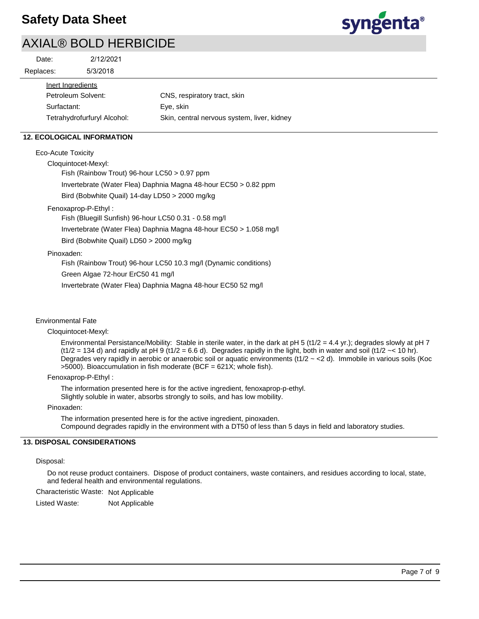

### AXIAL® BOLD HERBICIDE

| Date:     | 2/12/2021 |
|-----------|-----------|
| Replaces: | 5/3/2018  |

| aces:              | 5/3/2018                    |                                             |  |  |  |  |
|--------------------|-----------------------------|---------------------------------------------|--|--|--|--|
| Inert Ingredients  |                             |                                             |  |  |  |  |
| Petroleum Solvent: |                             | CNS, respiratory tract, skin                |  |  |  |  |
| Surfactant:        |                             | Eye, skin                                   |  |  |  |  |
|                    | Tetrahydrofurfuryl Alcohol: | Skin, central nervous system, liver, kidney |  |  |  |  |

### **12. ECOLOGICAL INFORMATION**

Eco-Acute Toxicity

Cloquintocet-Mexyl:

Fish (Rainbow Trout) 96-hour LC50 > 0.97 ppm Invertebrate (Water Flea) Daphnia Magna 48-hour EC50 > 0.82 ppm Bird (Bobwhite Quail) 14-day LD50 > 2000 mg/kg

Fenoxaprop-P-Ethyl :

Fish (Bluegill Sunfish) 96-hour LC50 0.31 - 0.58 mg/l Invertebrate (Water Flea) Daphnia Magna 48-hour EC50 > 1.058 mg/l Bird (Bobwhite Quail) LD50 > 2000 mg/kg

### Pinoxaden:

Fish (Rainbow Trout) 96-hour LC50 10.3 mg/l (Dynamic conditions)

Green Algae 72-hour ErC50 41 mg/l

Invertebrate (Water Flea) Daphnia Magna 48-hour EC50 52 mg/l

### Environmental Fate

### Cloquintocet-Mexyl:

Environmental Persistance/Mobility: Stable in sterile water, in the dark at pH 5 (t1/2 = 4.4 yr.); degrades slowly at pH 7  $(t1/2 = 134 d)$  and rapidly at pH 9 (t1/2 = 6.6 d). Degrades rapidly in the light, both in water and soil (t1/2  $\sim$  < 10 hr). Degrades very rapidly in aerobic or anaerobic soil or aquatic environments ( $t1/2 \sim$  <2 d). Immobile in various soils (Koc >5000). Bioaccumulation in fish moderate (BCF = 621X; whole fish).

### Fenoxaprop-P-Ethyl :

The information presented here is for the active ingredient, fenoxaprop-p-ethyl. Slightly soluble in water, absorbs strongly to soils, and has low mobility.

### Pinoxaden:

The information presented here is for the active ingredient, pinoxaden. Compound degrades rapidly in the environment with a DT50 of less than 5 days in field and laboratory studies.

### **13. DISPOSAL CONSIDERATIONS**

### Disposal:

Do not reuse product containers. Dispose of product containers, waste containers, and residues according to local, state, and federal health and environmental regulations.

Characteristic Waste: Not Applicable

Listed Waste: Not Applicable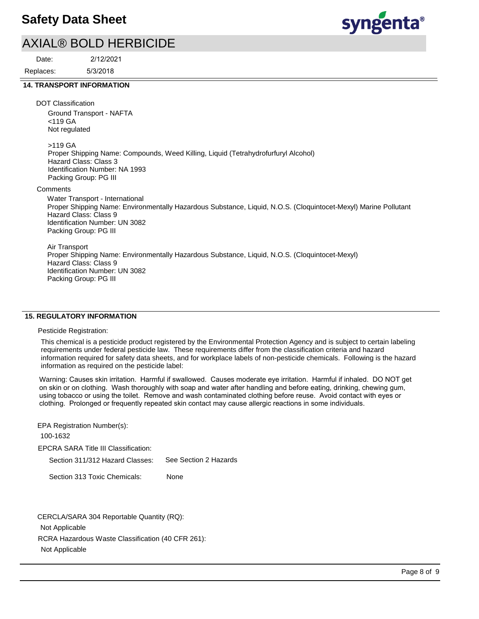### AXIAL® BOLD HERBICIDE

5/3/2018 2/12/2021 Replaces: Date:



syngenta®

#### **14. TRANSPORT INFORMATION**

DOT Classification

Ground Transport - NAFTA <119 GA Not regulated

>119 GA

Proper Shipping Name: Compounds, Weed Killing, Liquid (Tetrahydrofurfuryl Alcohol) Hazard Class: Class 3 Identification Number: NA 1993 Packing Group: PG III

**Comments** 

Water Transport - International Proper Shipping Name: Environmentally Hazardous Substance, Liquid, N.O.S. (Cloquintocet-Mexyl) Marine Pollutant Hazard Class: Class 9 Identification Number: UN 3082 Packing Group: PG III

Air Transport Proper Shipping Name: Environmentally Hazardous Substance, Liquid, N.O.S. (Cloquintocet-Mexyl) Hazard Class: Class 9 Identification Number: UN 3082 Packing Group: PG III

### **15. REGULATORY INFORMATION**

Pesticide Registration:

This chemical is a pesticide product registered by the Environmental Protection Agency and is subject to certain labeling requirements under federal pesticide law. These requirements differ from the classification criteria and hazard information required for safety data sheets, and for workplace labels of non-pesticide chemicals. Following is the hazard information as required on the pesticide label:

Warning: Causes skin irritation. Harmful if swallowed. Causes moderate eye irritation. Harmful if inhaled. DO NOT get on skin or on clothing. Wash thoroughly with soap and water after handling and before eating, drinking, chewing gum, using tobacco or using the toilet. Remove and wash contaminated clothing before reuse. Avoid contact with eyes or clothing. Prolonged or frequently repeated skin contact may cause allergic reactions in some individuals.

EPCRA SARA Title III Classification: Section 311/312 Hazard Classes: Section 313 Toxic Chemicals: EPA Registration Number(s): 100-1632 None See Section 2 Hazards

RCRA Hazardous Waste Classification (40 CFR 261): Not Applicable CERCLA/SARA 304 Reportable Quantity (RQ): Not Applicable